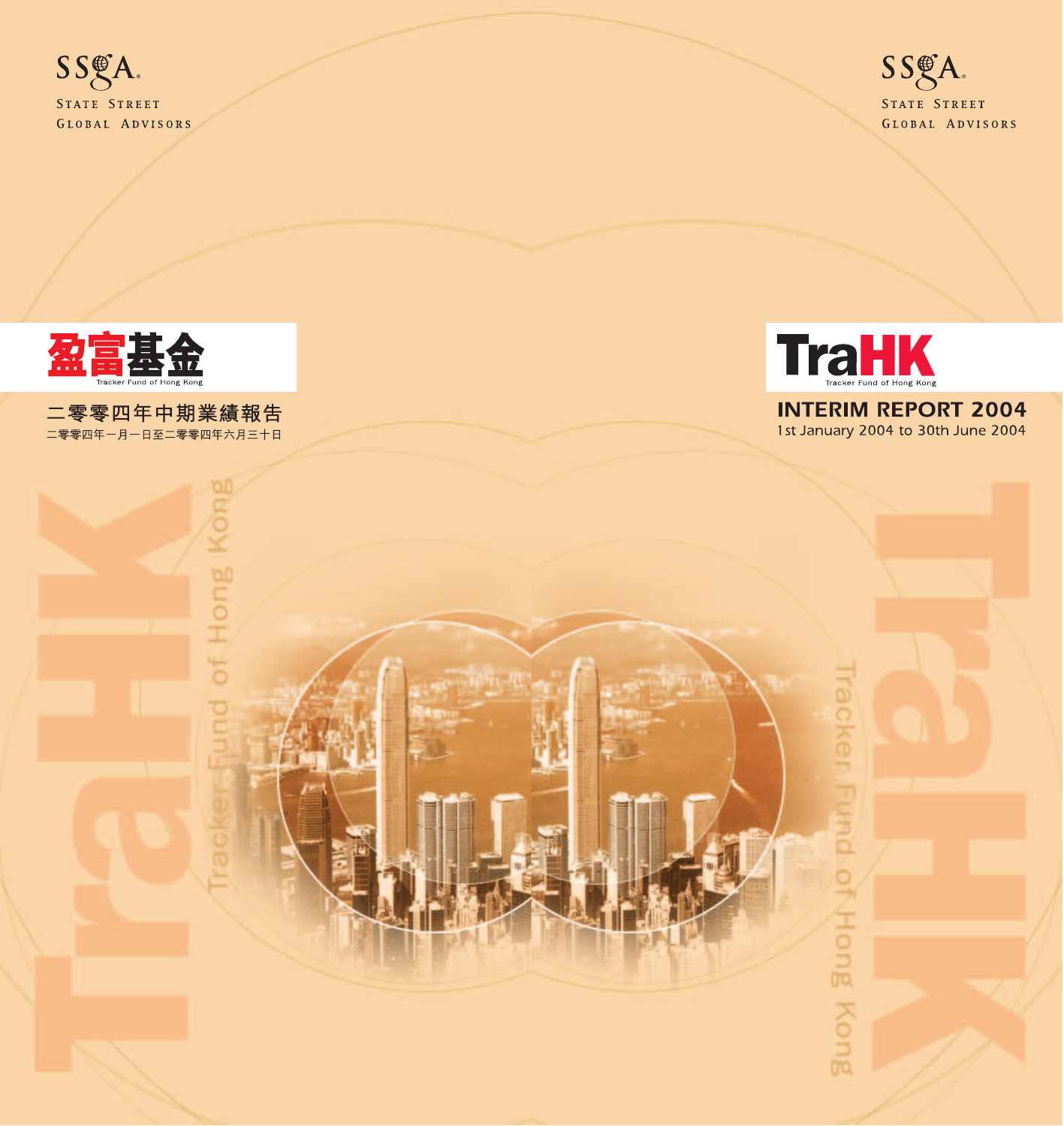



racker Fund of Hong Kong

**INTERIM REPORT 2004** 1st January 2004 to 30th June 2004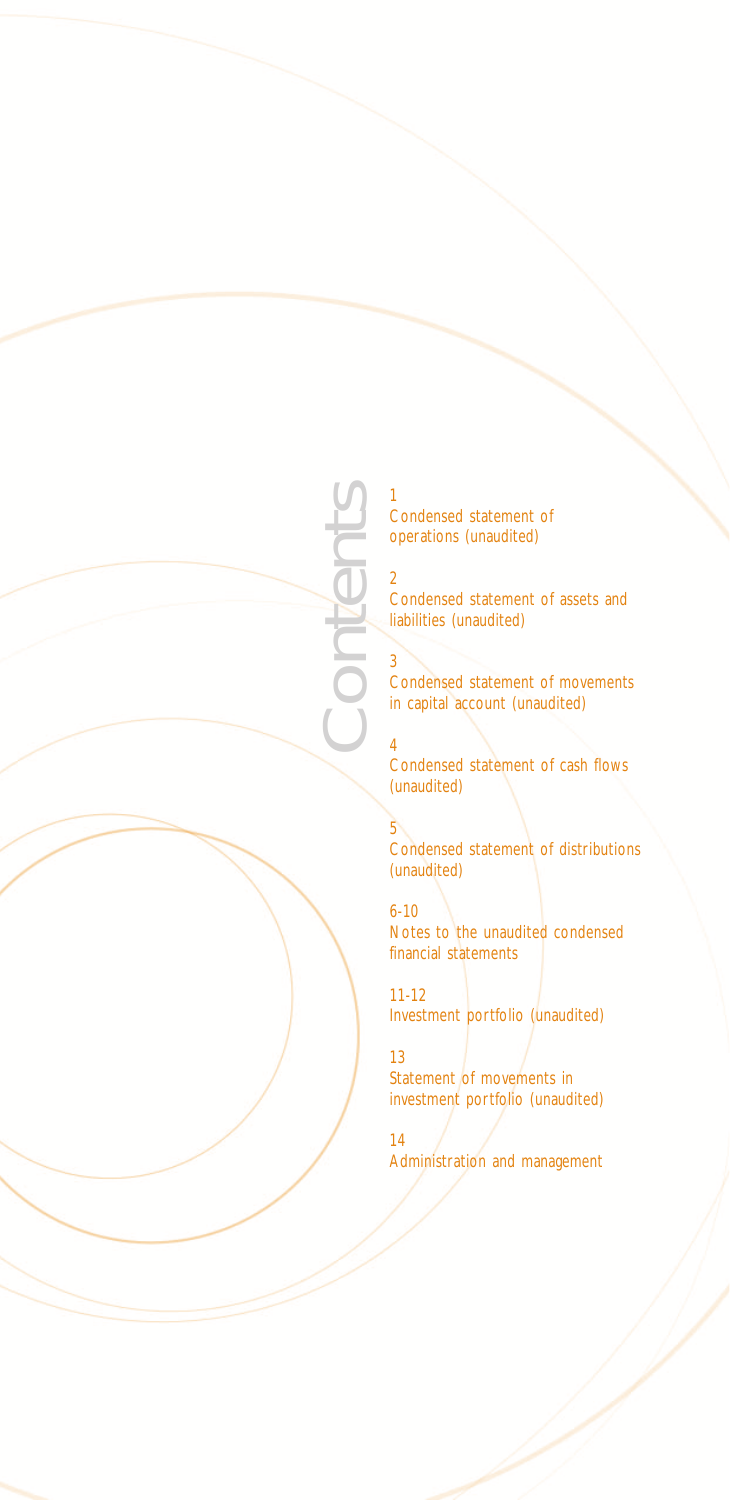

Contents

3

2 Condensed statement of assets and liabilities (unaudited)

Condensed statement of movements in capital account (unaudited)

4 Condensed statement of cash flows (unaudited)

5 Condensed statement of distributions (unaudited)

6-10 Notes to the unaudited condensed financial statements

11-12 Investment portfolio (unaudited)

13 Statement of movements in investment portfolio (unaudited)

14 Administration and management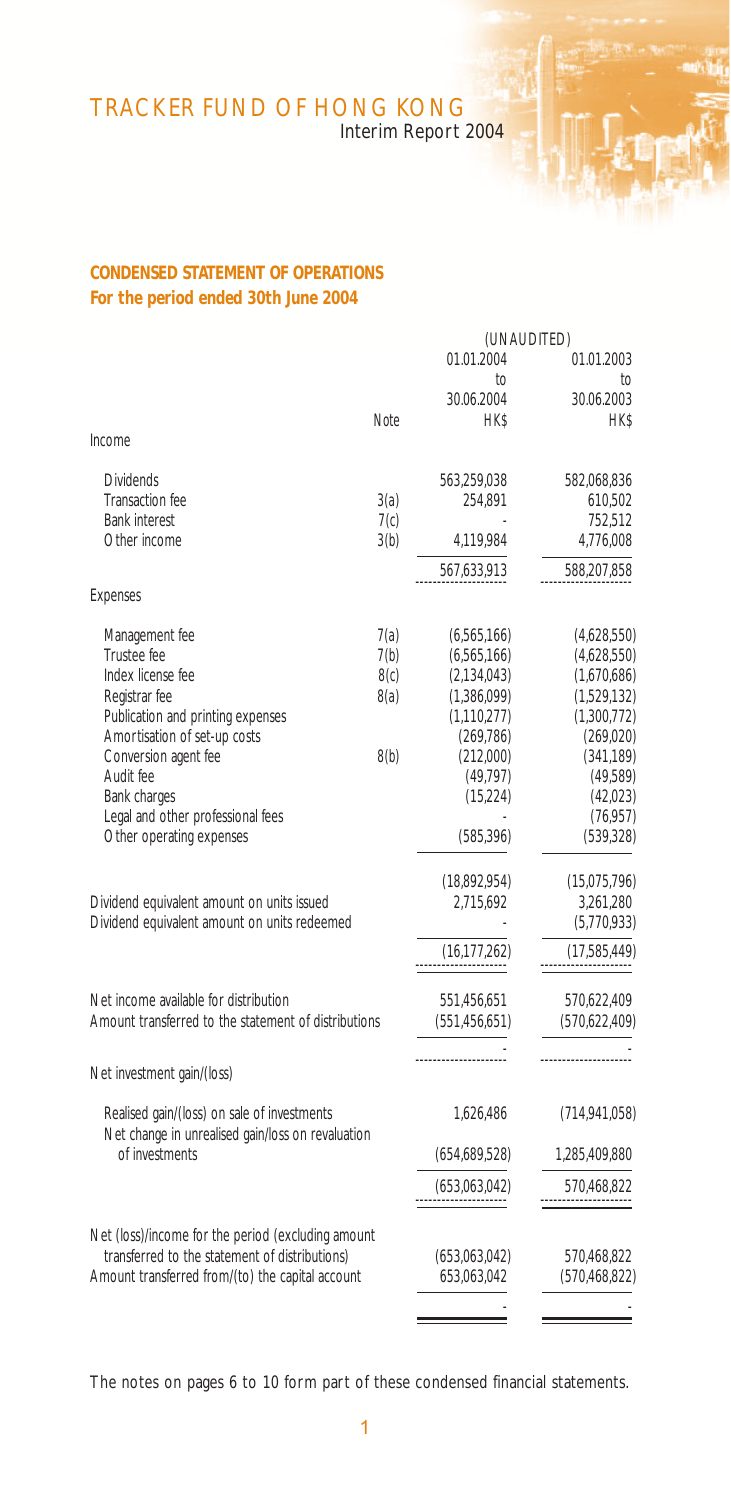Interim Report 2004

# **CONDENSED STATEMENT OF OPERATIONS For the period ended 30th June 2004**

|                                                                     |      | (UNAUDITED)     |                 |  |
|---------------------------------------------------------------------|------|-----------------|-----------------|--|
|                                                                     |      | 01.01.2004      | 01.01.2003      |  |
|                                                                     |      | to              | to              |  |
|                                                                     |      | 30.06.2004      | 30.06.2003      |  |
|                                                                     | Note | <b>HK\$</b>     | <b>HK\$</b>     |  |
| Income                                                              |      |                 |                 |  |
| <b>Dividends</b>                                                    |      | 563,259,038     | 582,068,836     |  |
| Transaction fee                                                     | 3(a) | 254,891         | 610,502         |  |
| Bank interest                                                       | 7(c) |                 | 752,512         |  |
| Other income                                                        | 3(b) | 4,119,984       | 4,776,008       |  |
|                                                                     |      | 567,633,913     | 588,207,858     |  |
| Expenses                                                            |      |                 |                 |  |
| Management fee                                                      | 7(a) | (6,565,166)     | (4,628,550)     |  |
| Trustee fee                                                         | 7(b) | (6,565,166)     | (4,628,550)     |  |
| Index license fee                                                   | 8(c) | (2, 134, 043)   | (1,670,686)     |  |
| Registrar fee                                                       | 8(a) | (1,386,099)     | (1,529,132)     |  |
| Publication and printing expenses                                   |      | (1, 110, 277)   | (1,300,772)     |  |
| Amortisation of set-up costs                                        |      | (269, 786)      | (269, 020)      |  |
| Conversion agent fee                                                | 8(b) | (212,000)       | (341, 189)      |  |
| Audit fee                                                           |      | (49, 797)       | (49,589)        |  |
| Bank charges                                                        |      | (15, 224)       | (42,023)        |  |
| Legal and other professional fees                                   |      |                 | (76, 957)       |  |
| Other operating expenses                                            |      | (585, 396)      | (539, 328)      |  |
|                                                                     |      | (18,892,954)    | (15,075,796)    |  |
| Dividend equivalent amount on units issued                          |      | 2,715,692       | 3,261,280       |  |
| Dividend equivalent amount on units redeemed                        |      |                 | (5,770,933)     |  |
|                                                                     |      | (16, 177, 262)  | (17,585,449)    |  |
| Net income available for distribution                               |      | 551,456,651     | 570,622,409     |  |
| Amount transferred to the statement of distributions                |      | (551, 456, 651) | (570,622,409)   |  |
|                                                                     |      |                 |                 |  |
| Net investment gain/(loss)                                          |      |                 |                 |  |
| Realised gain/(loss) on sale of investments                         |      | 1,626,486       | (714, 941, 058) |  |
| Net change in unrealised gain/loss on revaluation<br>of investments |      | (654,689,528)   | 1,285,409,880   |  |
|                                                                     |      | (653,063,042)   | 570,468,822     |  |
|                                                                     |      |                 |                 |  |
| Net (loss)/income for the period (excluding amount                  |      |                 |                 |  |
| transferred to the statement of distributions)                      |      | (653,063,042)   | 570,468,822     |  |
| Amount transferred from/(to) the capital account                    |      | 653,063,042     | (570, 468, 822) |  |
|                                                                     |      |                 |                 |  |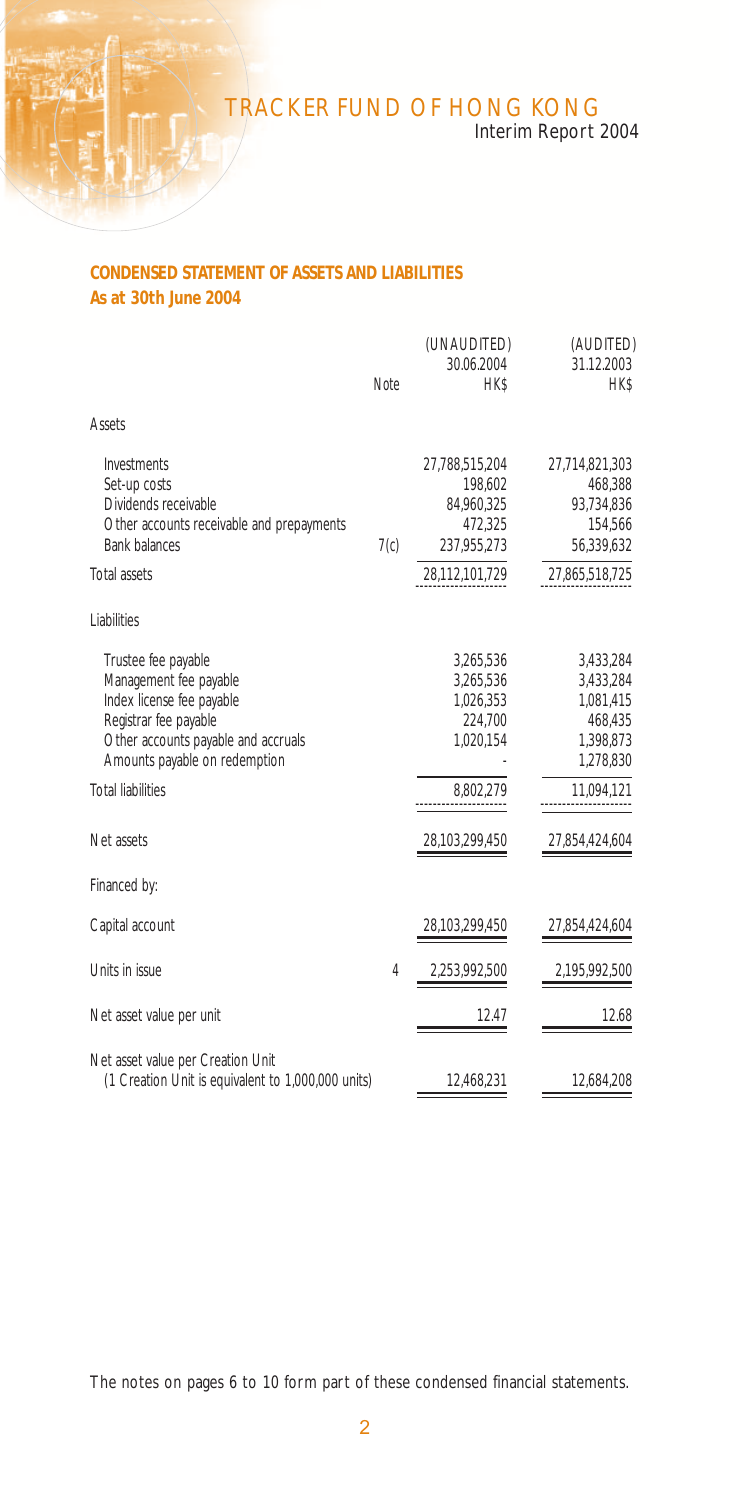Interim Report 2004

## **CONDENSED STATEMENT OF ASSETS AND LIABILITIES As at 30th June 2004**

|                                                                                                                                                                             | Note           | (UNAUDITED)<br>30.06.2004<br><b>HK\$</b>                          | (AUDITED)<br>31.12.2003<br><b>HK\$</b>                                   |
|-----------------------------------------------------------------------------------------------------------------------------------------------------------------------------|----------------|-------------------------------------------------------------------|--------------------------------------------------------------------------|
| Assets                                                                                                                                                                      |                |                                                                   |                                                                          |
| Investments<br>Set-up costs<br>Dividends receivable<br>Other accounts receivable and prepayments<br><b>Bank balances</b>                                                    | 7(c)           | 27,788,515,204<br>198,602<br>84,960,325<br>472,325<br>237,955,273 | 27,714,821,303<br>468,388<br>93,734,836<br>154,566<br>56,339,632         |
| Total assets                                                                                                                                                                |                | 28,112,101,729                                                    | 27,865,518,725                                                           |
| <b>Liabilities</b>                                                                                                                                                          |                |                                                                   |                                                                          |
| Trustee fee payable<br>Management fee payable<br>Index license fee payable<br>Registrar fee payable<br>Other accounts payable and accruals<br>Amounts payable on redemption |                | 3,265,536<br>3,265,536<br>1,026,353<br>224,700<br>1,020,154       | 3,433,284<br>3,433,284<br>1,081,415<br>468,435<br>1,398,873<br>1,278,830 |
| <b>Total liabilities</b>                                                                                                                                                    |                | 8.802.279                                                         | 11,094,121                                                               |
| Net assets                                                                                                                                                                  |                | 28,103,299,450                                                    | 27,854,424,604                                                           |
| Financed by:                                                                                                                                                                |                |                                                                   |                                                                          |
| Capital account                                                                                                                                                             |                | 28,103,299,450                                                    | 27,854,424,604                                                           |
| Units in issue                                                                                                                                                              | $\overline{4}$ | 2,253,992,500                                                     | 2,195,992,500                                                            |
| Net asset value per unit                                                                                                                                                    |                | 12.47                                                             | 12.68                                                                    |
| Net asset value per Creation Unit<br>(1 Creation Unit is equivalent to 1,000,000 units)                                                                                     |                | 12,468,231                                                        | 12,684,208                                                               |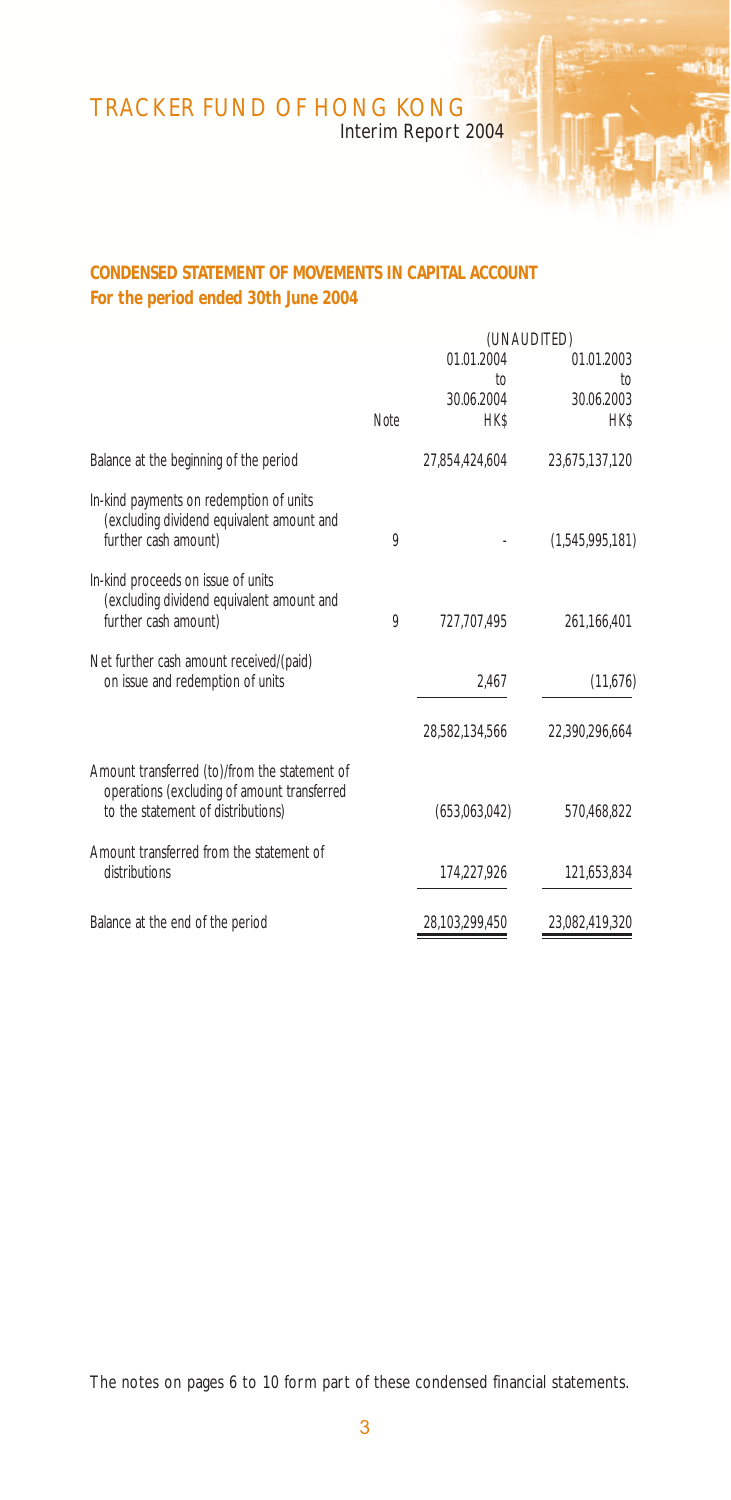Interim Report 2004

## **CONDENSED STATEMENT OF MOVEMENTS IN CAPITAL ACCOUNT For the period ended 30th June 2004**

|   |                | (UNAUDITED)                     |
|---|----------------|---------------------------------|
|   | 01.01.2004     | 01.01.2003                      |
|   |                | to<br>30.06.2003                |
|   |                | <b>HK\$</b>                     |
|   |                |                                 |
|   | 27,854,424,604 | 23,675,137,120                  |
| 9 |                | (1,545,995,181)                 |
|   |                |                                 |
| 9 | 727.707.495    | 261,166,401                     |
|   |                |                                 |
|   | 2,467          | (11,676)                        |
|   | 28,582,134,566 | 22.390.296.664                  |
|   |                |                                 |
|   | (653,063,042)  | 570.468.822                     |
|   |                |                                 |
|   | 174,227,926    | 121,653,834                     |
|   | 28.103.299.450 | 23.082.419.320                  |
|   | Note           | to<br>30.06.2004<br><b>HK\$</b> |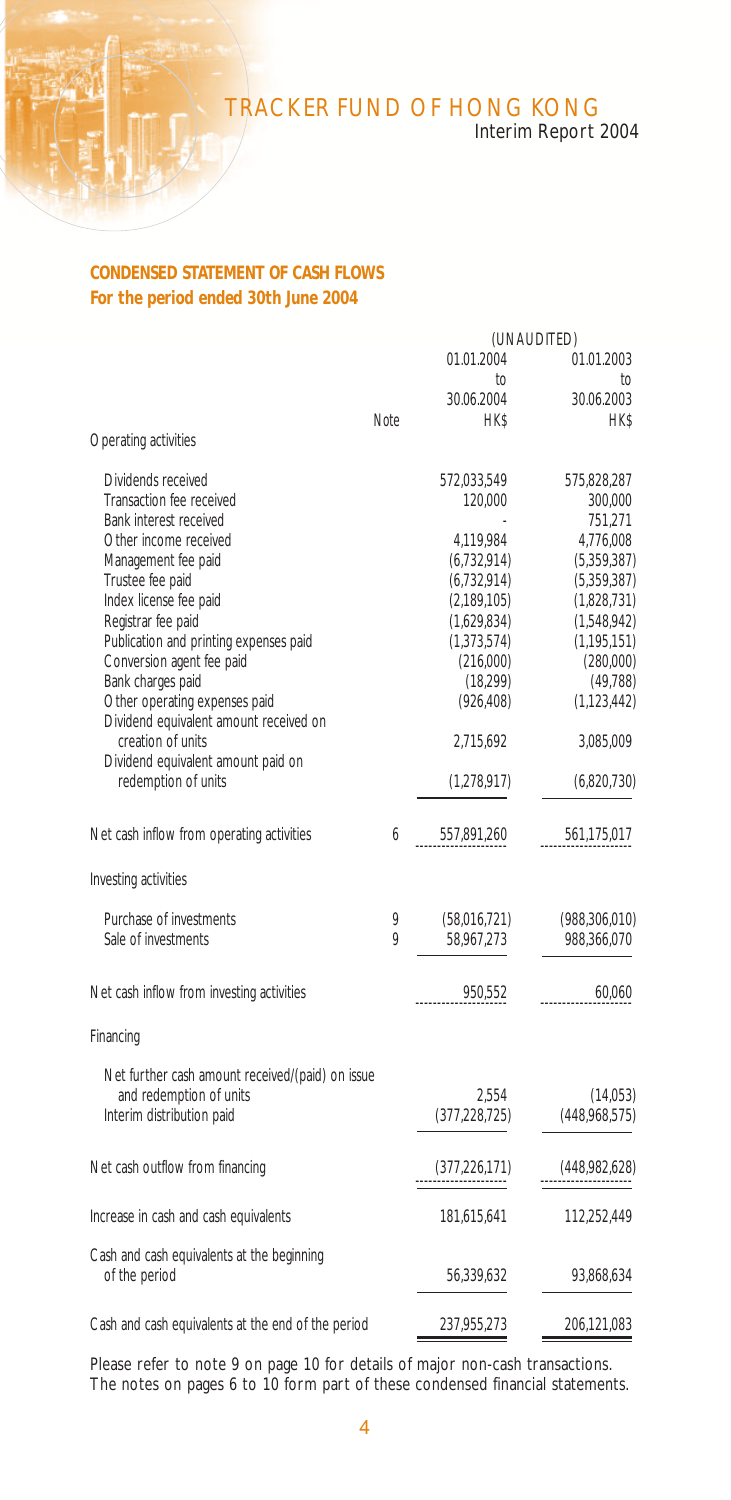# Interim Report 2004

## **CONDENSED STATEMENT OF CASH FLOWS For the period ended 30th June 2004**

|                                                    |      |                  | (UNAUDITED)        |
|----------------------------------------------------|------|------------------|--------------------|
|                                                    |      | 01.01.2004<br>to | 01.01.2003<br>to   |
|                                                    |      | 30.06.2004       | 30.06.2003         |
|                                                    | Note | <b>HK\$</b>      | <b>HK\$</b>        |
| Operating activities                               |      |                  |                    |
| Dividends received                                 |      | 572,033,549      | 575,828,287        |
| Transaction fee received<br>Bank interest received |      | 120,000          | 300,000<br>751,271 |
| Other income received                              |      | 4,119,984        | 4,776,008          |
| Management fee paid                                |      | (6, 732, 914)    | (5,359,387)        |
| Trustee fee paid                                   |      | (6, 732, 914)    | (5,359,387)        |
| Index license fee paid                             |      | (2,189,105)      | (1,828,731)        |
| Registrar fee paid                                 |      | (1,629,834)      | (1,548,942)        |
| Publication and printing expenses paid             |      | (1,373,574)      | (1, 195, 151)      |
| Conversion agent fee paid                          |      | (216,000)        | (280,000)          |
| Bank charges paid                                  |      | (18, 299)        | (49, 788)          |
| Other operating expenses paid                      |      | (926, 408)       | (1, 123, 442)      |
| Dividend equivalent amount received on             |      |                  |                    |
| creation of units                                  |      | 2,715,692        | 3,085,009          |
| Dividend equivalent amount paid on                 |      |                  |                    |
| redemption of units                                |      | (1,278,917)      | (6,820,730)        |
|                                                    |      |                  |                    |
| Net cash inflow from operating activities          | 6    | 557,891,260      | 561,175,017        |
|                                                    |      |                  |                    |
| Investing activities                               |      |                  |                    |
| Purchase of investments                            | 9    | (58,016,721)     | (988, 306, 010)    |
| Sale of investments                                | Q    | 58,967,273       | 988,366,070        |
|                                                    |      |                  |                    |
| Net cash inflow from investing activities          |      | 950,552          | 60.060             |
| Financing                                          |      |                  |                    |
|                                                    |      |                  |                    |
| Net further cash amount received/(paid) on issue   |      |                  |                    |
| and redemption of units                            |      | 2.554            | (14,053)           |
| Interim distribution paid                          |      | (377, 228, 725)  | (448,968,575)      |
| Net cash outflow from financing                    |      | (377, 226, 171)  | (448,982,628)      |
|                                                    |      |                  |                    |
| Increase in cash and cash equivalents              |      | 181,615,641      | 112,252,449        |
| Cash and cash equivalents at the beginning         |      |                  |                    |
| of the period                                      |      | 56,339,632       | 93,868,634         |
| Cash and cash equivalents at the end of the period |      | 237,955,273      | 206,121,083        |
|                                                    |      |                  |                    |

Please refer to note 9 on page 10 for details of major non-cash transactions. The notes on pages 6 to 10 form part of these condensed financial statements.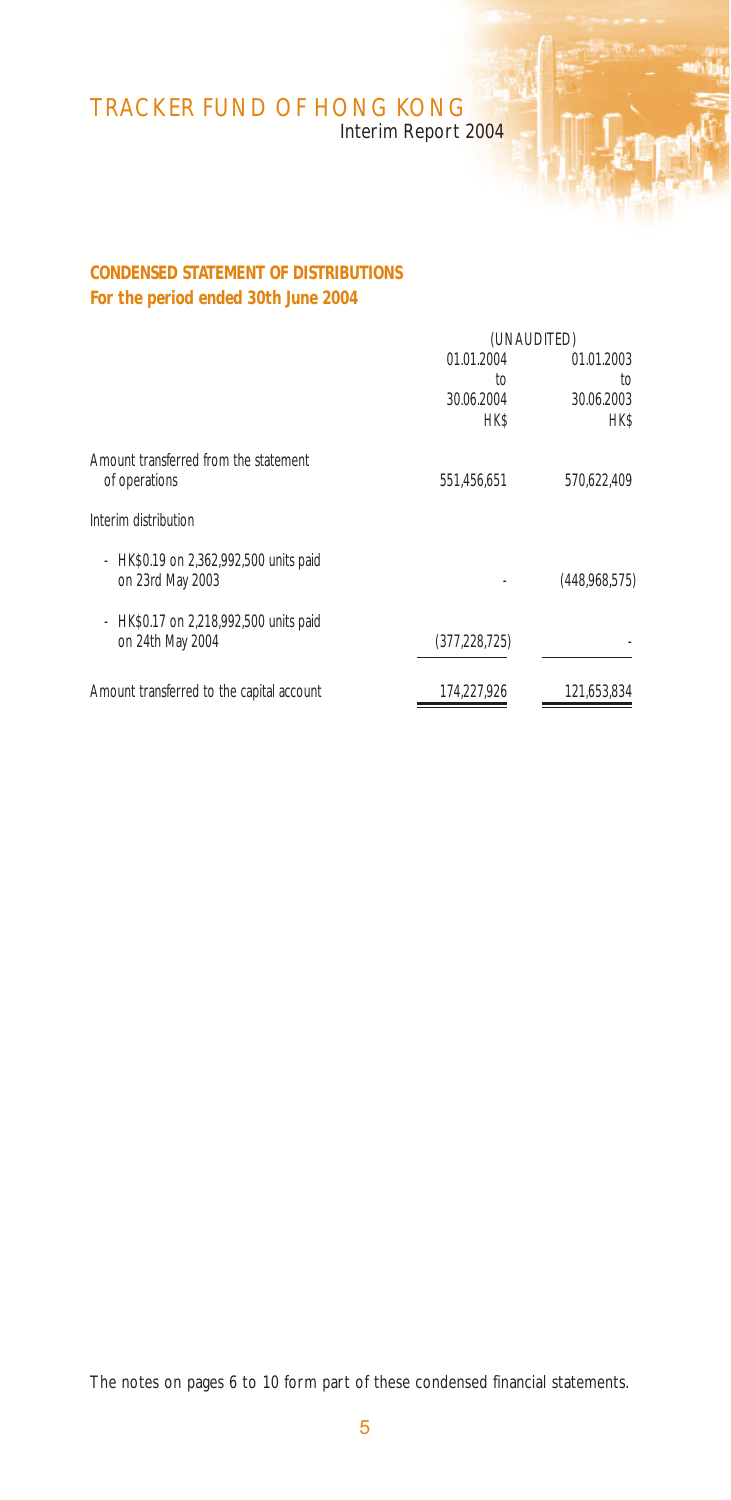Interim Report 2004

## **CONDENSED STATEMENT OF DISTRIBUTIONS For the period ended 30th June 2004**

| (UNAUDITED)     |               |  |
|-----------------|---------------|--|
| 01.01.2004      | 01.01.2003    |  |
| to              | to            |  |
| 30.06.2004      | 30.06.2003    |  |
| <b>HK\$</b>     | <b>HK\$</b>   |  |
|                 |               |  |
| 551.456.651     | 570.622.409   |  |
|                 |               |  |
|                 | (448,968,575) |  |
|                 |               |  |
|                 |               |  |
| (377, 228, 725) |               |  |
| 174.227.926     | 121,653,834   |  |
|                 |               |  |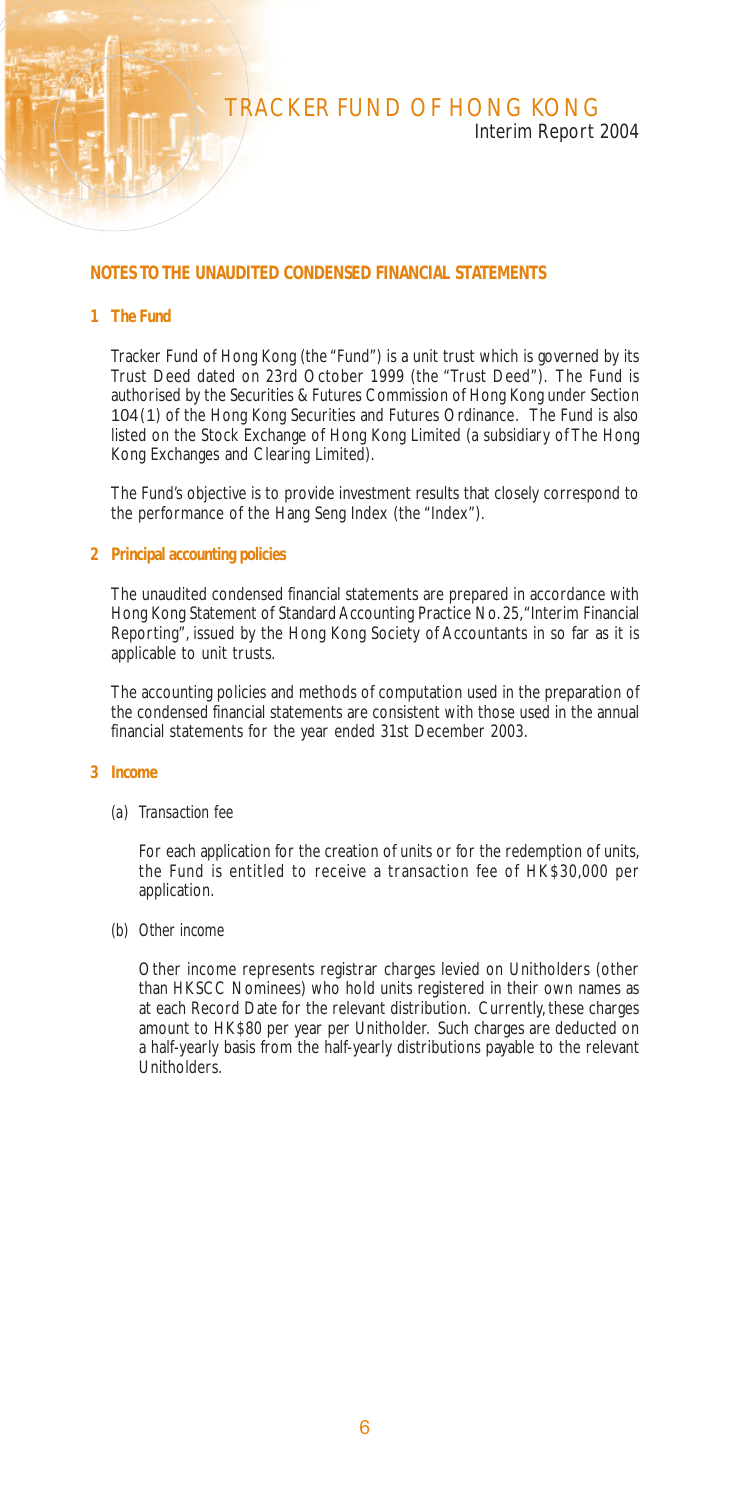## Interim Report 2004

### **NOTES TO THE UNAUDITED CONDENSED FINANCIAL STATEMENTS**

#### **1 The Fund**

Tracker Fund of Hong Kong (the "Fund") is a unit trust which is governed by its Trust Deed dated on 23rd October 1999 (the "Trust Deed"). The Fund is authorised by the Securities & Futures Commission of Hong Kong under Section 104(1) of the Hong Kong Securities and Futures Ordinance. The Fund is also listed on the Stock Exchange of Hong Kong Limited (a subsidiary of The Hong Kong Exchanges and Clearing Limited).

The Fund's objective is to provide investment results that closely correspond to the performance of the Hang Seng Index (the "Index").

#### **2 Principal accounting policies**

The unaudited condensed financial statements are prepared in accordance with Hong Kong Statement of Standard Accounting Practice No. 25, "Interim Financial Reporting", issued by the Hong Kong Society of Accountants in so far as it is applicable to unit trusts.

The accounting policies and methods of computation used in the preparation of the condensed financial statements are consistent with those used in the annual financial statements for the year ended 31st December 2003.

#### **3 Income**

#### *(a) Transaction fee*

For each application for the creation of units or for the redemption of units, the Fund is entitled to receive a transaction fee of HK\$30,000 per application.

*(b) Other income*

Other income represents registrar charges levied on Unitholders (other than HKSCC Nominees) who hold units registered in their own names as at each Record Date for the relevant distribution. Currently, these charges amount to HK\$80 per year per Unitholder. Such charges are deducted on a half-yearly basis from the half-yearly distributions payable to the relevant Unitholders.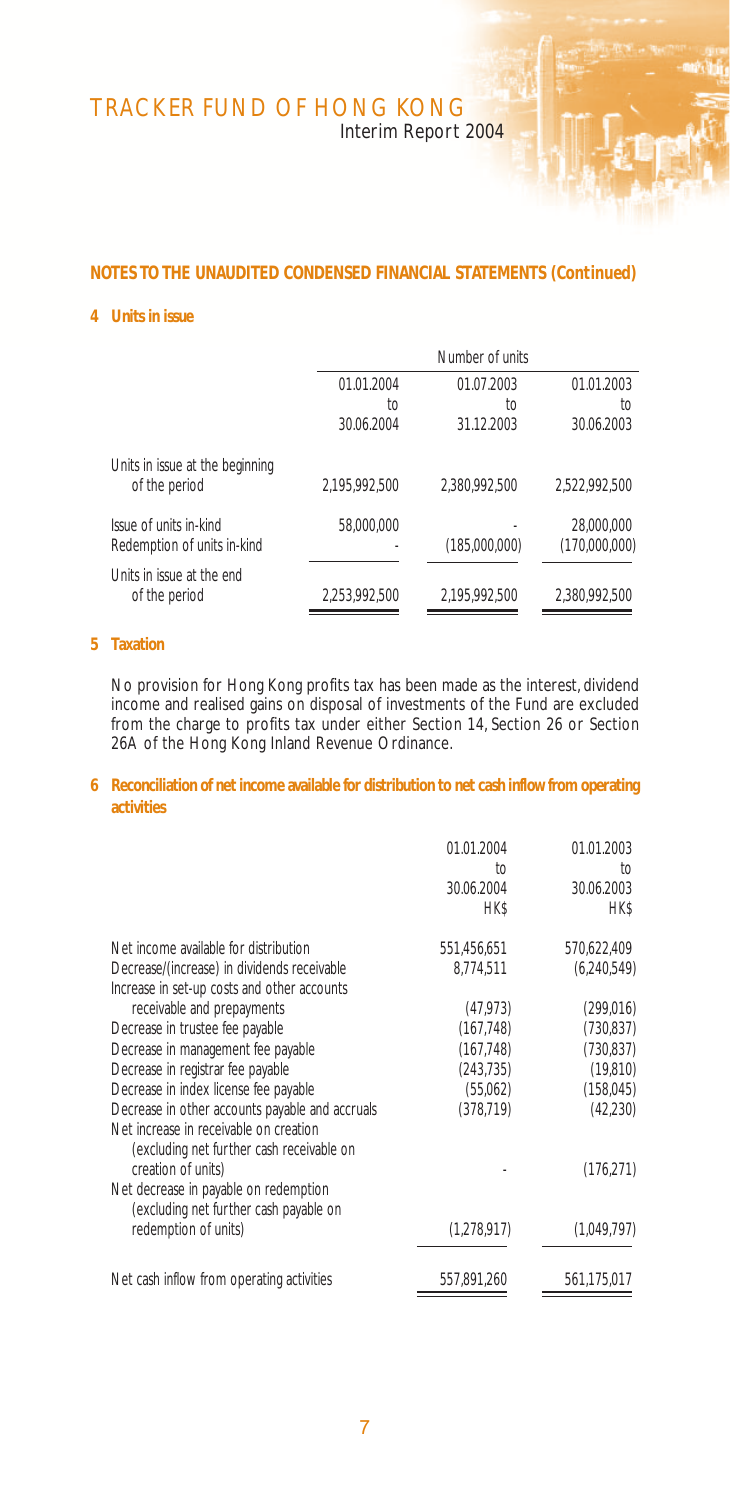Interim Report 2004

## **NOTES TO THE UNAUDITED CONDENSED FINANCIAL STATEMENTS (Continued)**

#### **4 Units in issue**

|                                                       |               | Number of units |                             |  |
|-------------------------------------------------------|---------------|-----------------|-----------------------------|--|
|                                                       | 01.01.2004    | 01.07.2003      | 01.01.2003                  |  |
|                                                       | to            | to              | ŤO                          |  |
|                                                       | 30.06.2004    | 31.12.2003      | 30.06.2003                  |  |
| Units in issue at the beginning<br>of the period      | 2.195.992.500 | 2.380.992.500   | 2.522.992.500               |  |
| Issue of units in-kind<br>Redemption of units in-kind | 58.000.000    | (185,000,000)   | 28,000,000<br>(170,000,000) |  |
| Units in issue at the end<br>of the period            | 2.253.992.500 | 2,195,992,500   | 2,380,992,500               |  |

### **5 Taxation**

No provision for Hong Kong profits tax has been made as the interest, dividend income and realised gains on disposal of investments of the Fund are excluded from the charge to profits tax under either Section 14, Section 26 or Section 26A of the Hong Kong Inland Revenue Ordinance.

### **6 Reconciliation of net income available for distribution to net cash inflow from operating activities**

|                                                                                                                                                                                                                                                                                | 01.01.2004<br>to<br>30.06.2004<br>HK\$                                        | 01.01.2003<br>to<br>30.06.2003<br><b>HK\$</b>                                  |
|--------------------------------------------------------------------------------------------------------------------------------------------------------------------------------------------------------------------------------------------------------------------------------|-------------------------------------------------------------------------------|--------------------------------------------------------------------------------|
| Net income available for distribution<br>Decrease/(increase) in dividends receivable<br>Increase in set-up costs and other accounts                                                                                                                                            | 551,456,651<br>8,774,511                                                      | 570,622,409<br>(6, 240, 549)                                                   |
| receivable and prepayments<br>Decrease in trustee fee payable<br>Decrease in management fee payable<br>Decrease in registrar fee payable<br>Decrease in index license fee payable<br>Decrease in other accounts payable and accruals<br>Net increase in receivable on creation | (47, 973)<br>(167, 748)<br>(167, 748)<br>(243, 735)<br>(55,062)<br>(378, 719) | (299, 016)<br>(730, 837)<br>(730, 837)<br>(19, 810)<br>(158, 045)<br>(42, 230) |
| (excluding net further cash receivable on<br>creation of units)<br>Net decrease in payable on redemption<br>(excluding net further cash payable on                                                                                                                             |                                                                               | (176, 271)                                                                     |
| redemption of units)                                                                                                                                                                                                                                                           | (1,278,917)                                                                   | (1,049,797)                                                                    |
| Net cash inflow from operating activities                                                                                                                                                                                                                                      | 557,891,260                                                                   | 561,175,017                                                                    |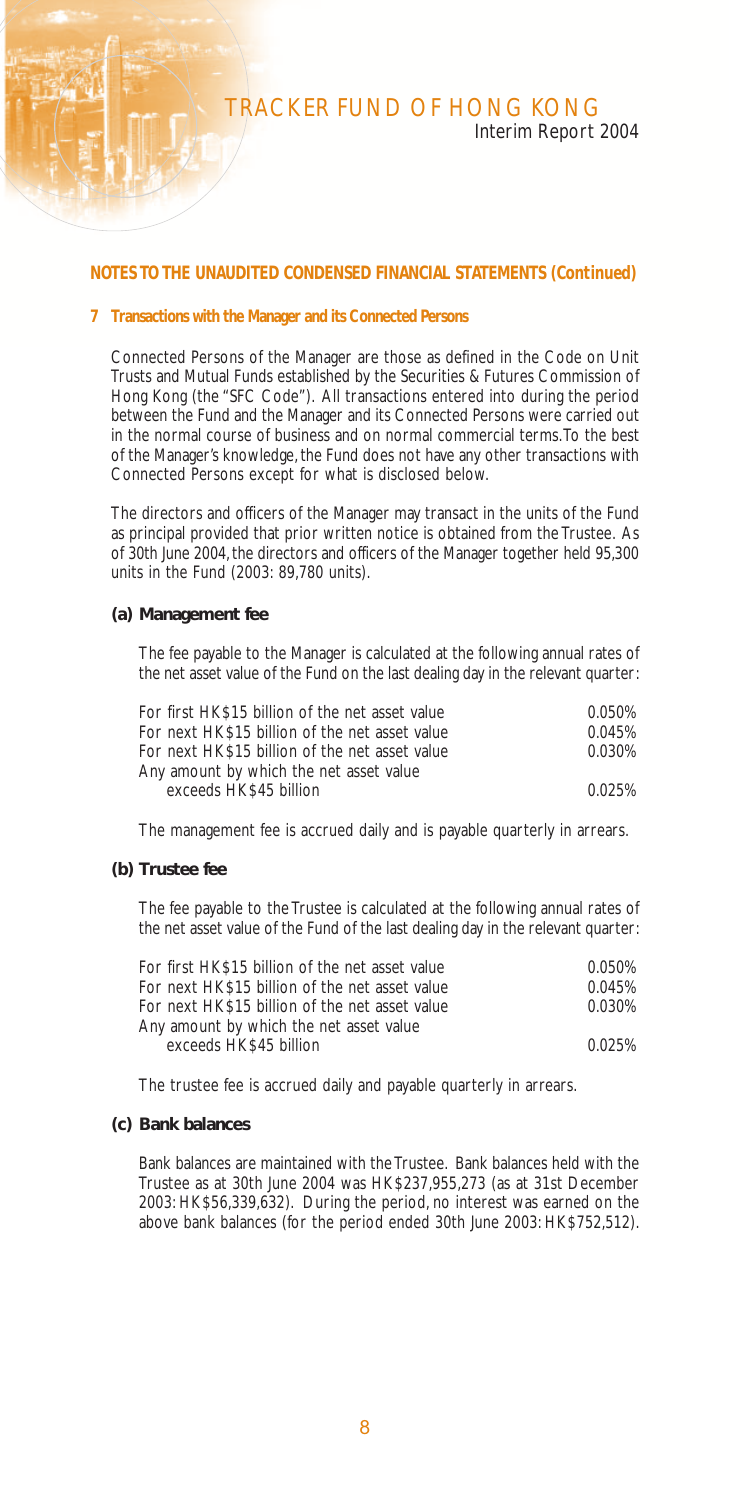### **NOTES TO THE UNAUDITED CONDENSED FINANCIAL STATEMENTS (Continued)**

#### **7 Transactions with the Manager and its Connected Persons**

Connected Persons of the Manager are those as defined in the Code on Unit Trusts and Mutual Funds established by the Securities & Futures Commission of Hong Kong (the "SFC Code"). All transactions entered into during the period between the Fund and the Manager and its Connected Persons were carried out in the normal course of business and on normal commercial terms. To the best of the Manager's knowledge, the Fund does not have any other transactions with Connected Persons except for what is disclosed below.

The directors and officers of the Manager may transact in the units of the Fund as principal provided that prior written notice is obtained from the Trustee. As of 30th June 2004, the directors and officers of the Manager together held 95,300 units in the Fund (2003: 89,780 units).

#### **(a) Management fee**

The fee payable to the Manager is calculated at the following annual rates of the net asset value of the Fund on the last dealing day in the relevant quarter:

| For first HK\$15 billion of the net asset value | 0.050% |
|-------------------------------------------------|--------|
| For next HK\$15 billion of the net asset value  | 0.045% |
| For next HK\$15 billion of the net asset value  | 0.030% |
| Any amount by which the net asset value         |        |
| exceeds HK\$45 billion                          | 0.025% |

The management fee is accrued daily and is payable quarterly in arrears.

#### **(b) Trustee fee**

The fee payable to the Trustee is calculated at the following annual rates of the net asset value of the Fund of the last dealing day in the relevant quarter:

| For first HK\$15 billion of the net asset value | 0.050% |
|-------------------------------------------------|--------|
| For next HK\$15 billion of the net asset value  | 0.045% |
| For next HK\$15 billion of the net asset value  | 0.030% |
| Any amount by which the net asset value         |        |
| exceeds HK\$45 billion                          | 0.025% |
|                                                 |        |

The trustee fee is accrued daily and payable quarterly in arrears.

#### **(c) Bank balances**

Bank balances are maintained with the Trustee. Bank balances held with the Trustee as at 30th June 2004 was HK\$237,955,273 (as at 31st December 2003: HK\$56,339,632). During the period, no interest was earned on the above bank balances (for the period ended 30th June 2003: HK\$752,512).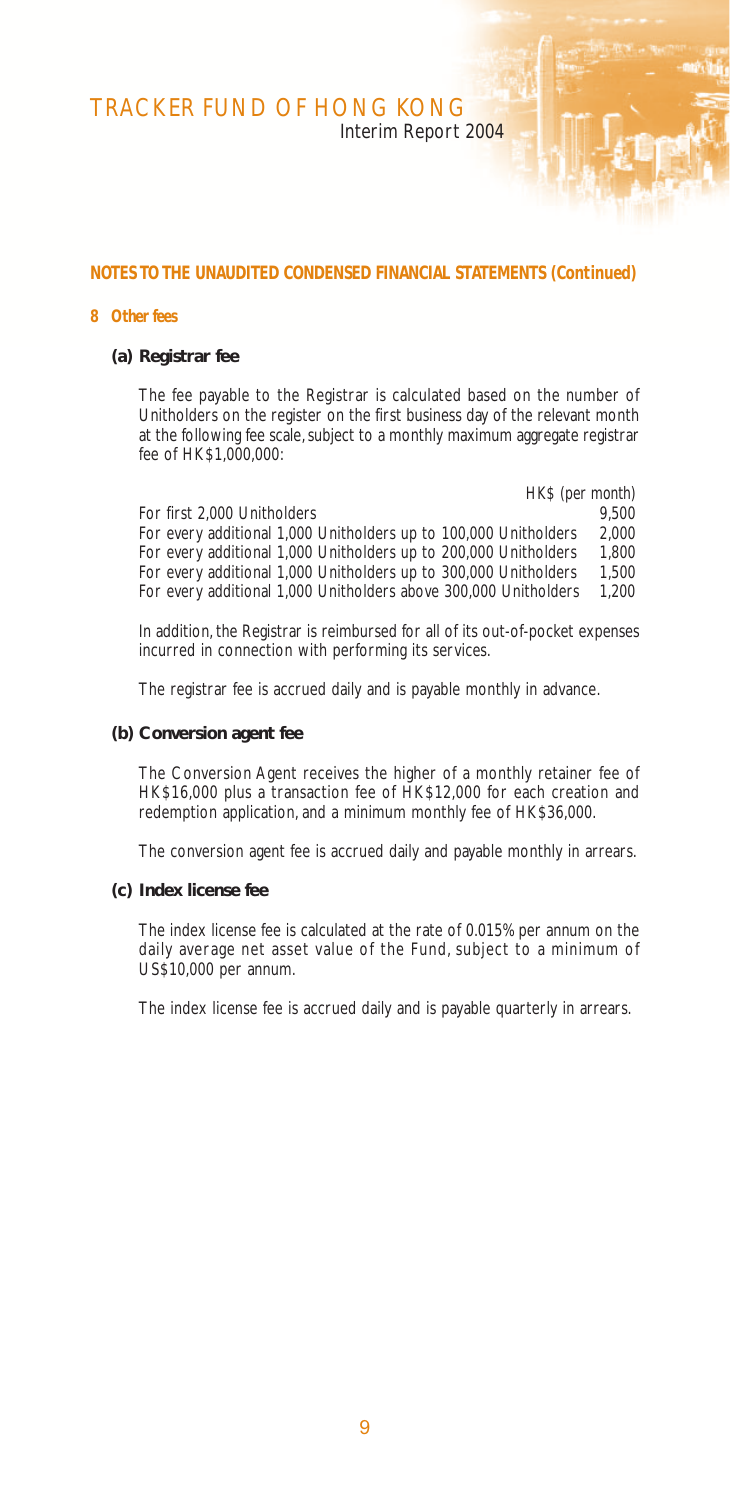Interim Report 2004

### **NOTES TO THE UNAUDITED CONDENSED FINANCIAL STATEMENTS (Continued)**

#### **8 Other fees**

#### **(a) Registrar fee**

The fee payable to the Registrar is calculated based on the number of Unitholders on the register on the first business day of the relevant month at the following fee scale, subject to a monthly maximum aggregate registrar fee of  $HK$1,000,000$ 

*HK\$ (per month)* For first 2,000 Unitholders<br>For every additional 1,000 Unitholders up to 100,000 Unitholders 2,000 For every additional 1,000 Unitholders up to 100,000 Unitholders 2,000 For every additional 1,000 Unitholders up to 200,000 Unitholders 1,800 For every additional 1,000 Unitholders up to 300,000 Unitholders 1,500 For every additional 1,000 Unitholders above 300,000 Unitholders

In addition, the Registrar is reimbursed for all of its out-of-pocket expenses incurred in connection with performing its services.

The registrar fee is accrued daily and is payable monthly in advance.

#### **(b) Conversion agent fee**

The Conversion Agent receives the higher of a monthly retainer fee of HK\$16,000 plus a transaction fee of HK\$12,000 for each creation and redemption application, and a minimum monthly fee of HK\$36,000.

The conversion agent fee is accrued daily and payable monthly in arrears.

#### **(c) Index license fee**

The index license fee is calculated at the rate of 0.015% per annum on the daily average net asset value of the Fund, subject to a minimum of US\$10,000 per annum.

The index license fee is accrued daily and is payable quarterly in arrears.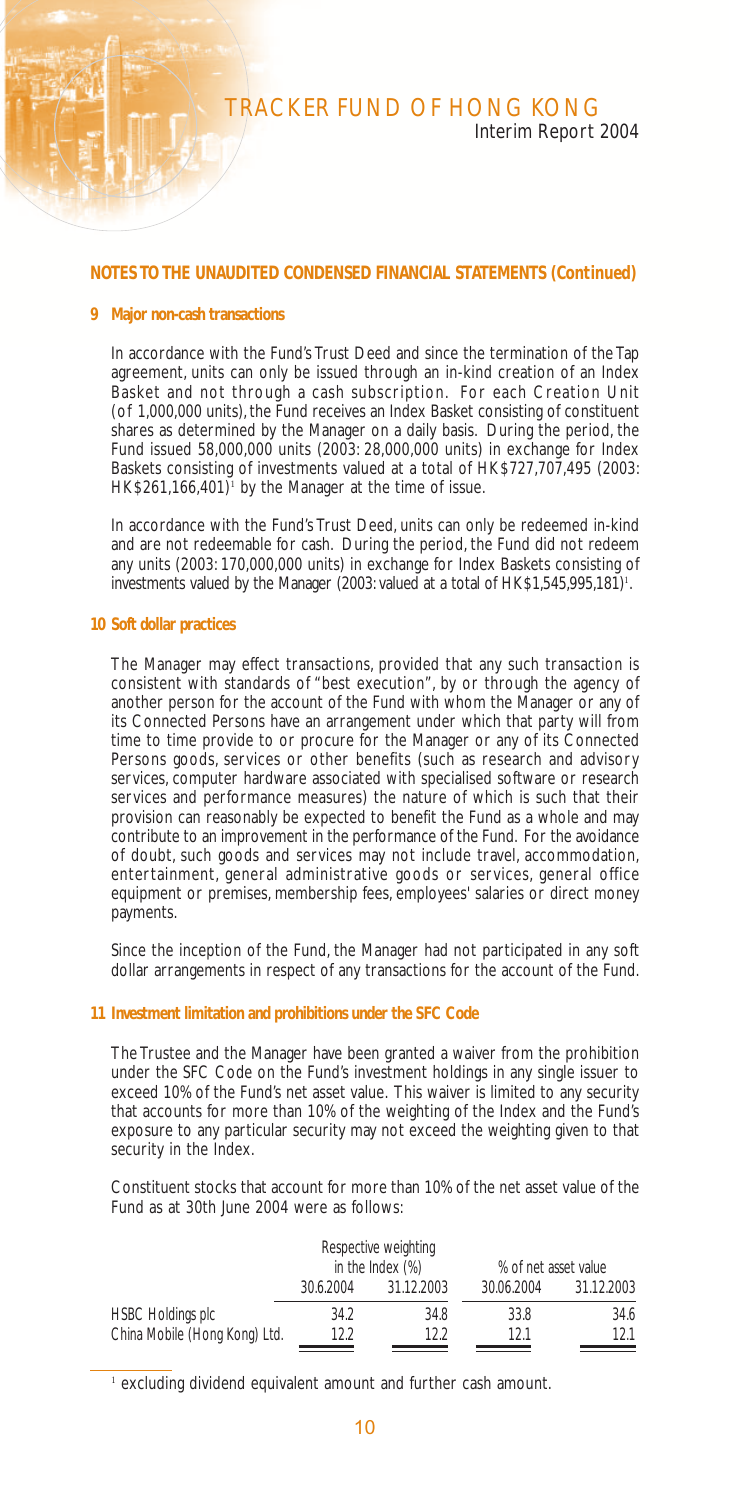#### **NOTES TO THE UNAUDITED CONDENSED FINANCIAL STATEMENTS (Continued)**

#### **9 Major non-cash transactions**

In accordance with the Fund's Trust Deed and since the termination of the Tap agreement, units can only be issued through an in-kind creation of an Index Basket and not through a cash subscription. For each Creation Unit (of 1,000,000 units), the Fund receives an Index Basket consisting of constituent shares as determined by the Manager on a daily basis. During the period, the Fund issued 58,000,000 units (2003: 28,000,000 units) in exchange for Index Baskets consisting of investments valued at a total of HK\$727,707,495 (2003: HK\$261,166,401)<sup>1</sup> by the Manager at the time of issue.

In accordance with the Fund's Trust Deed, units can only be redeemed in-kind and are not redeemable for cash. During the period, the Fund did not redeem any units (2003: 170,000,000 units) in exchange for Index Baskets consisting of investments valued by the Manager (2003: valued at a total of HK\$1,545,995,181)<sup>1</sup>.

#### **10 Soft dollar practices**

The Manager may effect transactions, provided that any such transaction is consistent with standards of "best execution", by or through the agency of another person for the account of the Fund with whom the Manager or any of its Connected Persons have an arrangement under which that party will from time to time provide to or procure for the Manager or any of its Connected Persons goods, services or other benefits (such as research and advisory services, computer hardware associated with specialised software or research services and performance measures) the nature of which is such that their provision can reasonably be expected to benefit the Fund as a whole and may contribute to an improvement in the performance of the Fund. For the avoidance of doubt, such goods and services may not include travel, accommodation, entertainment, general administrative goods or services, general office equipment or premises, membership fees, employees' salaries or direct money payments.

Since the inception of the Fund, the Manager had not participated in any soft dollar arrangements in respect of any transactions for the account of the Fund.

#### **11 Investment limitation and prohibitions under the SFC Code**

The Trustee and the Manager have been granted a waiver from the prohibition under the SFC Code on the Fund's investment holdings in any single issuer to exceed 10% of the Fund's net asset value. This waiver is limited to any security that accounts for more than 10% of the weighting of the Index and the Fund's exposure to any particular security may not exceed the weighting given to that security in the Index.

Constituent stocks that account for more than 10% of the net asset value of the Fund as at 30th June 2004 were as follows:

|                               |           | Respective weighting<br>in the Index $(\%)$ | % of net asset value |            |
|-------------------------------|-----------|---------------------------------------------|----------------------|------------|
|                               | 30.6.2004 | 31.12.2003                                  | 30.06.2004           | 31.12.2003 |
| <b>HSBC Holdings plc</b>      | 34.2      | 34.8                                        | 33.8                 | 34.6       |
| China Mobile (Hong Kong) Ltd. | 122       | 122                                         | 121                  | 121        |

<sup>1</sup> excluding dividend equivalent amount and further cash amount.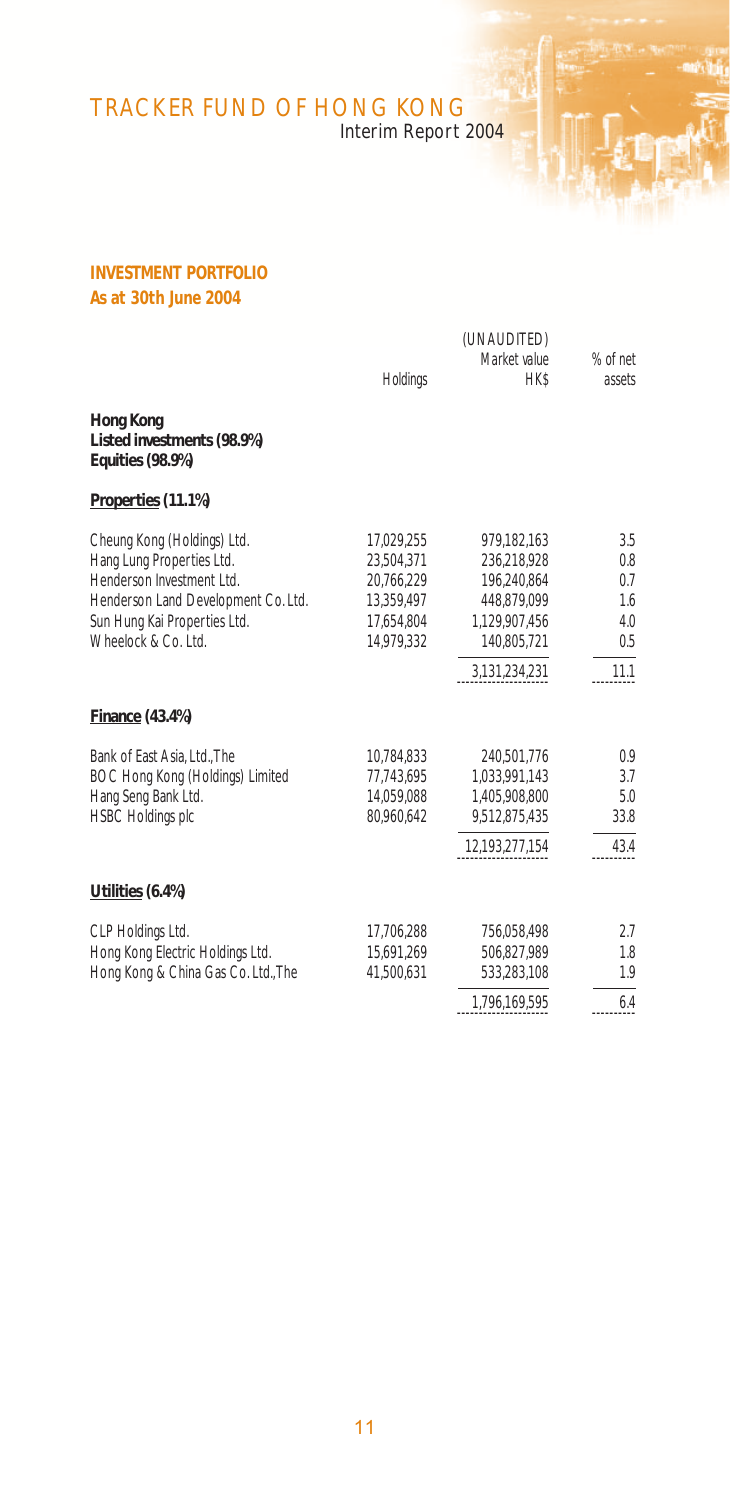Interim Report 2004

# **INVESTMENT PORTFOLIO As at 30th June 2004**

|                                                                                                                                                                                     |                                                                                  | (UNAUDITED)                                                                              |                                        |
|-------------------------------------------------------------------------------------------------------------------------------------------------------------------------------------|----------------------------------------------------------------------------------|------------------------------------------------------------------------------------------|----------------------------------------|
|                                                                                                                                                                                     | Holdings                                                                         | Market value<br><b>HK\$</b>                                                              | % of net<br>assets                     |
| Hong Kong<br>Listed investments (98.9%)<br><b>Equities (98.9%)</b>                                                                                                                  |                                                                                  |                                                                                          |                                        |
| Properties (11.1%)                                                                                                                                                                  |                                                                                  |                                                                                          |                                        |
| Cheung Kong (Holdings) Ltd.<br>Hang Lung Properties Ltd.<br>Henderson Investment Ltd.<br>Henderson Land Development Co. Ltd.<br>Sun Hung Kai Properties Ltd.<br>Wheelock & Co. Ltd. | 17,029,255<br>23.504.371<br>20.766.229<br>13,359,497<br>17.654.804<br>14.979.332 | 979,182,163<br>236.218.928<br>196.240.864<br>448,879,099<br>1.129.907.456<br>140.805.721 | 3.5<br>0.8<br>0.7<br>1.6<br>4.0<br>0.5 |
|                                                                                                                                                                                     |                                                                                  | 3,131,234,231                                                                            | 11.1                                   |
| Finance (43.4%)                                                                                                                                                                     |                                                                                  |                                                                                          |                                        |
| Bank of East Asia, Ltd., The<br>BOC Hong Kong (Holdings) Limited<br>Hang Seng Bank Ltd.<br><b>HSBC Holdings plc</b>                                                                 | 10,784,833<br>77.743.695<br>14.059.088<br>80,960,642                             | 240.501.776<br>1.033.991.143<br>1.405.908.800<br>9,512,875,435                           | 0.9<br>3.7<br>5.0<br>33.8              |
|                                                                                                                                                                                     |                                                                                  | 12,193,277,154                                                                           | 43.4                                   |
| Utilities (6.4%)                                                                                                                                                                    |                                                                                  |                                                                                          |                                        |
| CLP Holdings Ltd.<br>Hong Kong Electric Holdings Ltd.<br>Hong Kong & China Gas Co. Ltd., The                                                                                        | 17,706,288<br>15,691,269<br>41,500,631                                           | 756,058,498<br>506.827.989<br>533,283,108                                                | 2.7<br>1.8<br>1.9                      |
|                                                                                                                                                                                     |                                                                                  | 1,796,169,595                                                                            | 6.4                                    |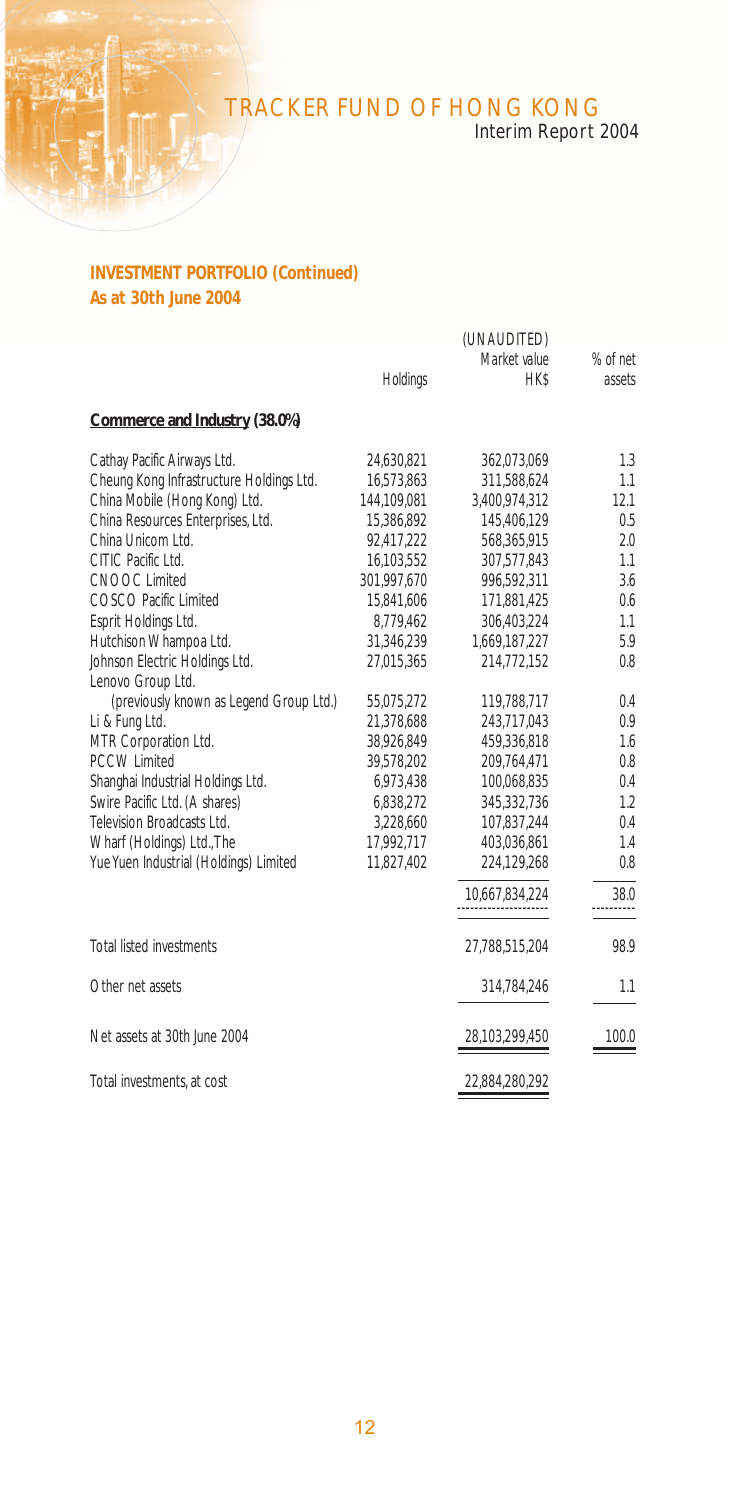# Interim Report 2004

## **INVESTMENT PORTFOLIO (Continued) As at 30th June 2004**

|                                          |             | (UNAUDITED)         |           |
|------------------------------------------|-------------|---------------------|-----------|
|                                          |             | Market value        | % of net  |
|                                          | Holdings    | <b>HK\$</b>         | assets    |
| Commerce and Industry (38.0%)            |             |                     |           |
| Cathay Pacific Airways Ltd.              | 24,630,821  | 362,073,069         | 1.3       |
| Cheung Kong Infrastructure Holdings Ltd. | 16,573,863  | 311,588,624         | 1.1       |
| China Mobile (Hong Kong) Ltd.            | 144.109.081 | 3.400.974.312       | 12.1      |
| China Resources Enterprises, Ltd.        | 15,386,892  | 145,406,129         | 0.5       |
| China Unicom Ltd.                        | 92,417,222  | 568,365,915         | 2.0       |
| CITIC Pacific Ltd.                       | 16,103,552  | 307,577,843         | 1.1       |
| <b>CNOOC Limited</b>                     | 301,997,670 | 996,592,311         | 3.6       |
| COSCO Pacific Limited                    | 15.841.606  | 171,881,425         | 0.6       |
| Esprit Holdings Ltd.                     | 8,779,462   | 306,403,224         | 1.1       |
| Hutchison Whampoa Ltd.                   | 31,346,239  | 1,669,187,227       | 5.9       |
| Johnson Electric Holdings Ltd.           | 27,015,365  | 214,772,152         | 0.8       |
| Lenovo Group Ltd.                        |             |                     |           |
| (previously known as Legend Group Ltd.)  | 55,075,272  | 119,788,717         | 0.4       |
| Li & Fung Ltd.                           | 21,378,688  | 243,717,043         | 0.9       |
| MTR Corporation Ltd.                     | 38,926,849  | 459,336,818         | 1.6       |
| <b>PCCW Limited</b>                      | 39.578.202  | 209,764,471         | 0.8       |
| Shanghai Industrial Holdings Ltd.        | 6.973.438   | 100.068.835         | 0.4       |
| Swire Pacific Ltd. (A shares)            | 6,838,272   | 345,332,736         | 1.2       |
| Television Broadcasts Ltd.               | 3,228,660   | 107,837,244         | 0.4       |
| Wharf (Holdings) Ltd., The               | 17,992,717  | 403,036,861         | 1.4       |
| Yue Yuen Industrial (Holdings) Limited   | 11,827,402  | 224,129,268         | 0.8       |
|                                          |             | 10,667,834,224<br>. | 38.0<br>. |
| Total listed investments                 |             | 27,788,515,204      | 98.9      |
| Other net assets                         |             | 314,784,246         | 1.1       |
|                                          |             |                     |           |
| Net assets at 30th June 2004             |             | 28,103,299,450      | 100.0     |
| Total investments, at cost               |             | 22,884,280,292      |           |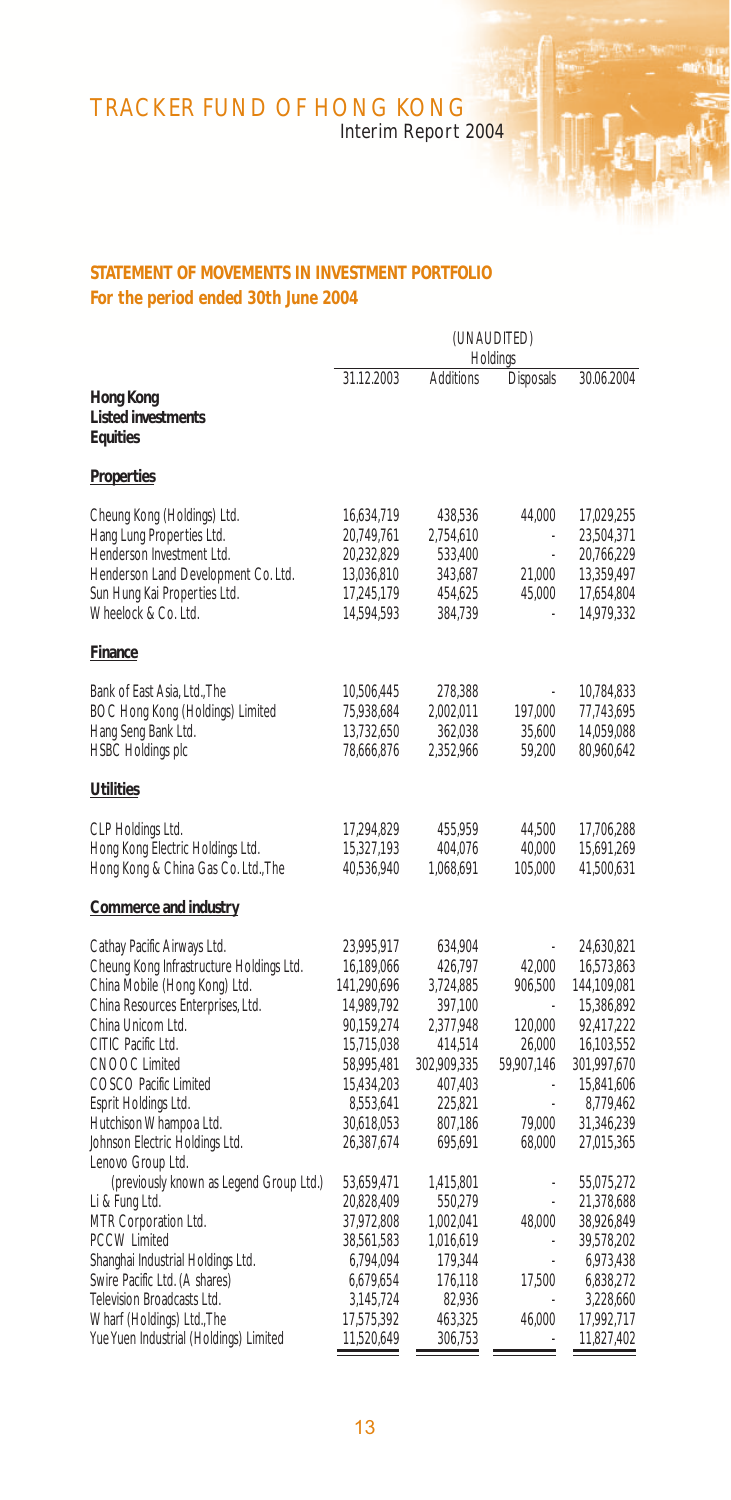Interim Report 2004

## **STATEMENT OF MOVEMENTS IN INVESTMENT PORTFOLIO For the period ended 30th June 2004**

|                                                                                                                                                                                                                                                                                                                        | (UNAUDITED)<br>Holdings                                                                                                                                |                                                                                                                               |                                                                          |                                                                                                                                                         |
|------------------------------------------------------------------------------------------------------------------------------------------------------------------------------------------------------------------------------------------------------------------------------------------------------------------------|--------------------------------------------------------------------------------------------------------------------------------------------------------|-------------------------------------------------------------------------------------------------------------------------------|--------------------------------------------------------------------------|---------------------------------------------------------------------------------------------------------------------------------------------------------|
|                                                                                                                                                                                                                                                                                                                        | 31.12.2003                                                                                                                                             | Additions                                                                                                                     | <b>Disposals</b>                                                         | 30.06.2004                                                                                                                                              |
| Hong Kong<br><b>Listed investments</b><br>Equities                                                                                                                                                                                                                                                                     |                                                                                                                                                        |                                                                                                                               |                                                                          |                                                                                                                                                         |
| <b>Properties</b>                                                                                                                                                                                                                                                                                                      |                                                                                                                                                        |                                                                                                                               |                                                                          |                                                                                                                                                         |
| Cheung Kong (Holdings) Ltd.<br>Hang Lung Properties Ltd.<br>Henderson Investment Ltd.<br>Henderson Land Development Co. Ltd.<br>Sun Hung Kai Properties Ltd.<br>Wheelock & Co. Ltd.                                                                                                                                    | 16,634,719<br>20,749,761<br>20,232,829<br>13,036,810<br>17,245,179<br>14,594,593                                                                       | 438,536<br>2,754,610<br>533,400<br>343,687<br>454,625<br>384,739                                                              | 44,000<br>21,000<br>45,000                                               | 17,029,255<br>23,504,371<br>20,766,229<br>13,359,497<br>17,654,804<br>14,979,332                                                                        |
| <b>Finance</b>                                                                                                                                                                                                                                                                                                         |                                                                                                                                                        |                                                                                                                               |                                                                          |                                                                                                                                                         |
| Bank of East Asia, Ltd., The<br>BOC Hong Kong (Holdings) Limited<br>Hang Seng Bank Ltd.<br><b>HSBC Holdings plc</b>                                                                                                                                                                                                    | 10,506,445<br>75,938,684<br>13,732,650<br>78,666,876                                                                                                   | 278,388<br>2,002,011<br>362,038<br>2,352,966                                                                                  | 197,000<br>35,600<br>59,200                                              | 10,784,833<br>77,743,695<br>14,059,088<br>80,960,642                                                                                                    |
| <b>Utilities</b>                                                                                                                                                                                                                                                                                                       |                                                                                                                                                        |                                                                                                                               |                                                                          |                                                                                                                                                         |
| CLP Holdings Ltd.<br>Hong Kong Electric Holdings Ltd.<br>Hong Kong & China Gas Co. Ltd., The                                                                                                                                                                                                                           | 17,294,829<br>15,327,193<br>40,536,940                                                                                                                 | 455,959<br>404,076<br>1,068,691                                                                                               | 44,500<br>40,000<br>105,000                                              | 17,706,288<br>15,691,269<br>41,500,631                                                                                                                  |
| Commerce and industry                                                                                                                                                                                                                                                                                                  |                                                                                                                                                        |                                                                                                                               |                                                                          |                                                                                                                                                         |
| Cathay Pacific Airways Ltd.<br>Cheung Kong Infrastructure Holdings Ltd.<br>China Mobile (Hong Kong) Ltd.<br>China Resources Enterprises, Ltd.<br>China Unicom Ltd.<br>CITIC Pacific Ltd.<br>CNOOC Limited<br>COSCO Pacific Limited<br>Esprit Holdings Ltd.<br>Hutchison Whampoa Ltd.<br>Johnson Electric Holdings Ltd. | 23,995,917<br>16,189,066<br>141,290,696<br>14,989,792<br>90,159,274<br>15,715,038<br>58,995,481<br>15,434,203<br>8,553,641<br>30,618,053<br>26,387,674 | 634,904<br>426,797<br>3,724,885<br>397,100<br>2,377,948<br>414,514<br>302,909,335<br>407,403<br>225,821<br>807,186<br>695,691 | 42.000<br>906,500<br>120,000<br>26,000<br>59,907,146<br>79,000<br>68,000 | 24,630,821<br>16,573,863<br>144,109,081<br>15,386,892<br>92,417,222<br>16,103,552<br>301,997,670<br>15,841,606<br>8,779,462<br>31,346,239<br>27,015,365 |
| Lenovo Group Ltd.<br>(previously known as Legend Group Ltd.)<br>Li & Fung Ltd.<br>MTR Corporation Ltd.<br><b>PCCW Limited</b><br>Shanghai Industrial Holdings Ltd.<br>Swire Pacific Ltd. (A shares)<br>Television Broadcasts Ltd.<br>Wharf (Holdings) Ltd., The                                                        | 53,659,471<br>20,828,409<br>37,972,808<br>38,561,583<br>6,794,094<br>6,679,654<br>3,145,724<br>17,575,392                                              | 1,415,801<br>550,279<br>1,002,041<br>1,016,619<br>179,344<br>176,118<br>82,936<br>463,325                                     | l,<br>48.000<br>i,<br>17,500<br>46,000                                   | 55,075,272<br>21,378,688<br>38,926,849<br>39,578,202<br>6,973,438<br>6,838,272<br>3,228,660<br>17,992,717                                               |
| Yue Yuen Industrial (Holdings) Limited                                                                                                                                                                                                                                                                                 | 11,520,649                                                                                                                                             | 306,753                                                                                                                       | ä,                                                                       | 11,827,402                                                                                                                                              |